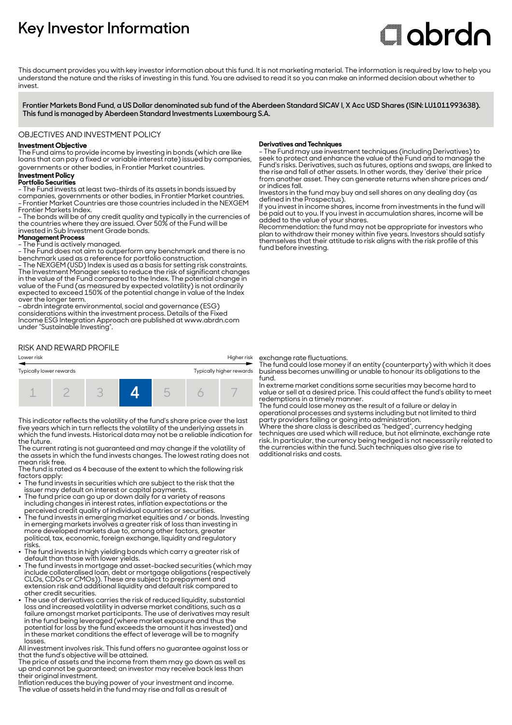# **Key Investor Information**

# Clobrdn

This document provides you with key investor information about this fund. It is not marketing material. The information is required by law to help you understand the nature and the risks of investing in this fund. You are advised to read it so you can make an informed decision about whether to invest

**Frontier Markets Bond Fund, a US Dollar denominated sub fund of the Aberdeen Standard SICAV I, X Acc USD Shares (ISIN: LU1011993638). This fund is managed by Aberdeen Standard Investments Luxembourg S.A.**

## OBJECTIVES AND INVESTMENT POLICY

# **Investment Objective**

The Fund aims to provide income by investing in bonds (which are like loans that can pay a fixed or variable interest rate) issued by companies, governments or other bodies, in Frontier Market countries.

#### **Investment Policy**

#### **Portfolio Securities**

- The Fund invests at least two-thirds of its assets in bonds issued by companies, governments or other bodies, in Frontier Market countries. - Frontier Market Countries are those countries included in the NEXGEM Frontier Markets Index.

- The bonds will be of any credit quality and typically in the currencies of the countries where they are issued. Over 50% of the Fund will be invested in Sub Investment Grade bonds.

### **Management Process**

- The Fund is actively managed.

- The Fund does not aim to outperform any benchmark and there is no benchmark used as a reference for portfolio construction.

- The NEXGEM (USD) Index is used as a basis for setting risk constraints. The Investment Manager seeks to reduce the risk of significant changes in the value of the Fund compared to the Index. The potential change in value of the Fund (as measured by expected volatility) is not ordinarily expected to exceed 150% of the potential change in value of the Index over the longer term.

- abrdn integrate environmental, social and governance (ESG) considerations within the investment process. Details of the Fixed Income ESG Integration Approach are published at www.abrdn.com under "Sustainable Investing".

# RISK AND REWARD PROFILE





This indicator reflects the volatility of the fund's share price over the last five years which in turn reflects the volatility of the underlying assets in which the fund invests. Historical data may not be a reliable indication for the future.

The current rating is not guaranteed and may change if the volatility of the assets in which the fund invests changes. The lowest rating does not mean risk free.

The fund is rated as 4 because of the extent to which the following risk factors apply:

- The fund invests in securities which are subject to the risk that the issuer may default on interest or capital payments.
- $\cdot$  The fund price can go up or down daily for a variety of reasons including changes in interest rates, inflation expectations or the
- perceived credit quality of individual countries or securities. 2 The fund invests in emerging market equities and / or bonds. Investing in emerging markets involves a greater risk of loss than investing in more developed markets due to, among other factors, greater political, tax, economic, foreign exchange, liquidity and regulatory risks.
- The fund invests in high yielding bonds which carry a greater risk of default than those with lower yields.
- The fund invests in mortgage and asset-backed securities (which may include collateralised loan, debt or mortgage obligations (respectively CLOs, CDOs or CMOs)). These are subject to prepayment and extension risk and additional liquidity and default risk compared to other credit securities.
- The use of derivatives carries the risk of reduced liquidity, substantial loss and increased volatility in adverse market conditions, such as a failure amongst market participants. The use of derivatives may result in the fund being leveraged (where market exposure and thus the potential for loss by the fund exceeds the amount it has invested) and in these market conditions the effect of leverage will be to magnify losses.

All investment involves risk. This fund offers no guarantee against loss or that the fund's objective will be attained.

The price of assets and the income from them may go down as well as up and cannot be guaranteed; an investor may receive back less than their original investment.

Inflation reduces the buying power of your investment and income. The value of assets held in the fund may rise and fall as a result of

#### **Derivatives and Techniques**

- The Fund may use investment techniques (including Derivatives) to seek to protect and enhance the value of the Fund and to manage the Fund's risks. Derivatives, such as futures, options and swaps, are linked to the rise and fall of other assets. In other words, they 'derive' their price from another asset. They can generate returns when share prices and/ or indices fall.

Investors in the fund may buy and sell shares on any dealing day (as defined in the Prospectus).

If you invest in income shares, income from investments in the fund will be paid out to you. If you invest in accumulation shares, income will be added to the value of your shares.

Recommendation: the fund may not be appropriate for investors who plan to withdraw their money within five years. Investors should satisfy themselves that their attitude to risk aligns with the risk profile of this fund before investing.

exchange rate fluctuations.

The fund could lose money if an entity (counterparty) with which it does business becomes unwilling or unable to honour its obligations to the fund.

In extreme market conditions some securities may become hard to value or sell at a desired price. This could affect the fund's ability to meet redemptions in a timely manner.

The fund could lose money as the result of a failure or delay in operational processes and systems including but not limited to third party providers failing or going into administration.

Where the share class is described as "hedged", currency hedging techniques are used which will reduce, but not eliminate, exchange rate risk. In particular, the currency being hedged is not necessarily related to the currencies within the fund. Such techniques also give rise to additional risks and costs.